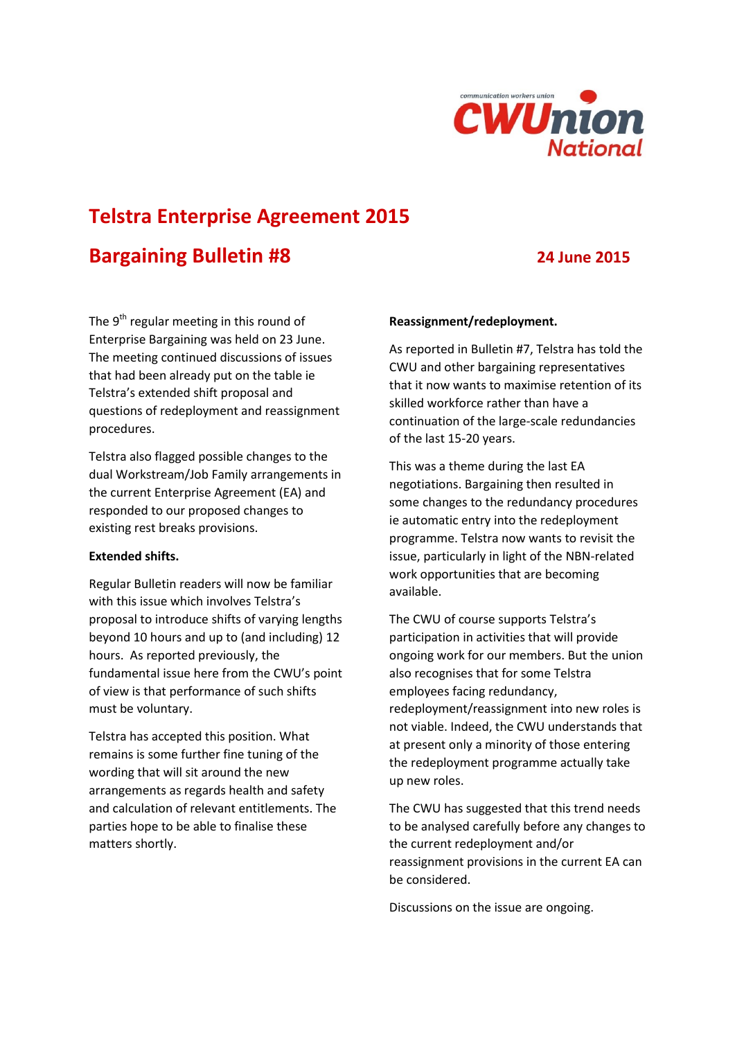

# **Telstra Enterprise Agreement 2015**

## **Bargaining Bulletin #8 24 June 2015**

The  $9<sup>th</sup>$  regular meeting in this round of Enterprise Bargaining was held on 23 June. The meeting continued discussions of issues that had been already put on the table ie Telstra's extended shift proposal and questions of redeployment and reassignment procedures.

Telstra also flagged possible changes to the dual Workstream/Job Family arrangements in the current Enterprise Agreement (EA) and responded to our proposed changes to existing rest breaks provisions.

#### **Extended shifts.**

Regular Bulletin readers will now be familiar with this issue which involves Telstra's proposal to introduce shifts of varying lengths beyond 10 hours and up to (and including) 12 hours. As reported previously, the fundamental issue here from the CWU's point of view is that performance of such shifts must be voluntary.

Telstra has accepted this position. What remains is some further fine tuning of the wording that will sit around the new arrangements as regards health and safety and calculation of relevant entitlements. The parties hope to be able to finalise these matters shortly.

### **Reassignment/redeployment.**

As reported in Bulletin #7, Telstra has told the CWU and other bargaining representatives that it now wants to maximise retention of its skilled workforce rather than have a continuation of the large-scale redundancies of the last 15-20 years.

This was a theme during the last EA negotiations. Bargaining then resulted in some changes to the redundancy procedures ie automatic entry into the redeployment programme. Telstra now wants to revisit the issue, particularly in light of the NBN-related work opportunities that are becoming available.

The CWU of course supports Telstra's participation in activities that will provide ongoing work for our members. But the union also recognises that for some Telstra employees facing redundancy, redeployment/reassignment into new roles is not viable. Indeed, the CWU understands that at present only a minority of those entering the redeployment programme actually take up new roles.

The CWU has suggested that this trend needs to be analysed carefully before any changes to the current redeployment and/or reassignment provisions in the current EA can be considered.

Discussions on the issue are ongoing.